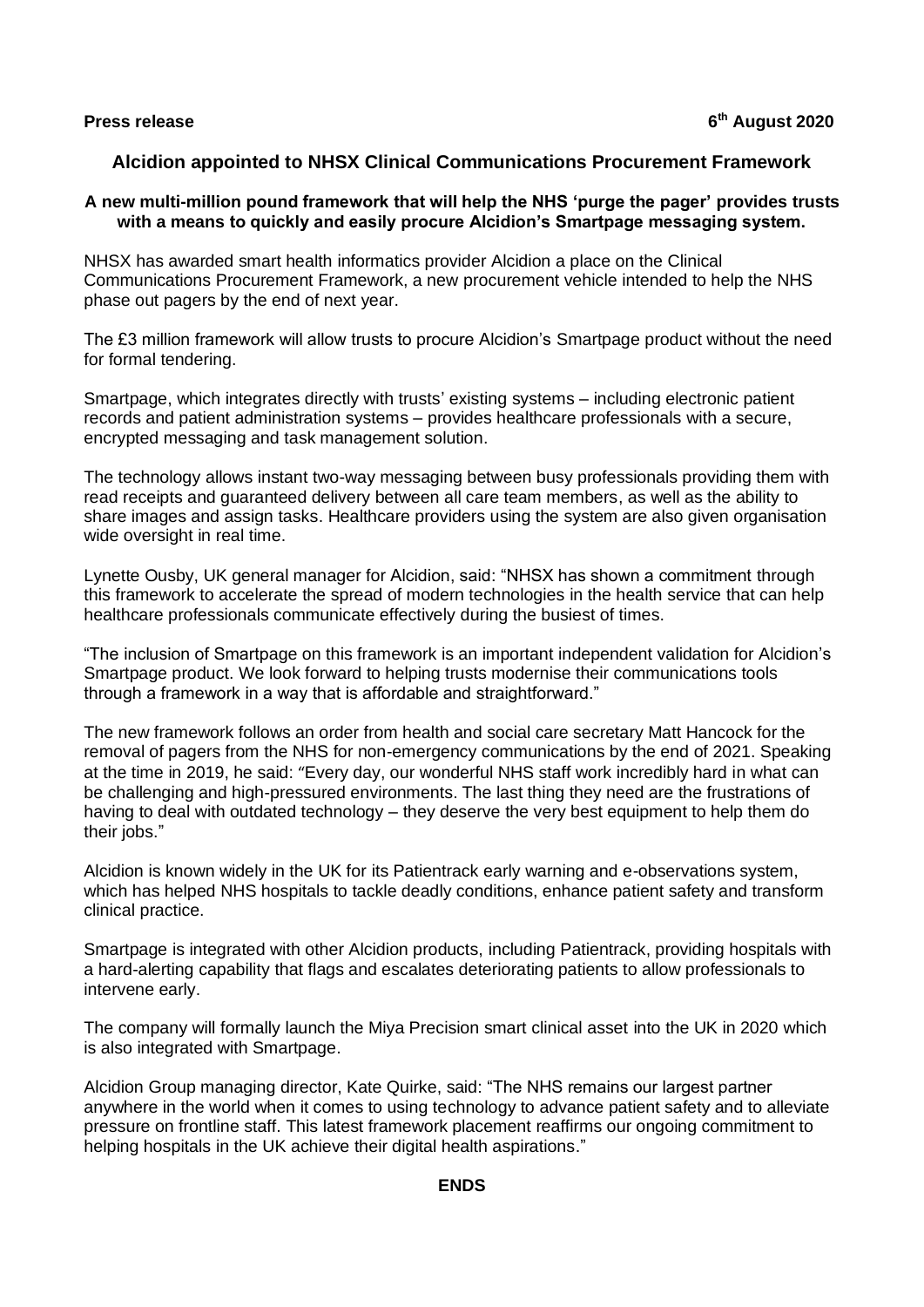**Press release 6**

## **Alcidion appointed to NHSX Clinical Communications Procurement Framework**

## **A new multi-million pound framework that will help the NHS 'purge the pager' provides trusts with a means to quickly and easily procure Alcidion's Smartpage messaging system.**

NHSX has awarded smart health informatics provider Alcidion a place on the Clinical Communications Procurement Framework, a new procurement vehicle intended to help the NHS phase out pagers by the end of next year.

The £3 million framework will allow trusts to procure Alcidion's Smartpage product without the need for formal tendering.

Smartpage, which integrates directly with trusts' existing systems – including electronic patient records and patient administration systems – provides healthcare professionals with a secure, encrypted messaging and task management solution.

The technology allows instant two-way messaging between busy professionals providing them with read receipts and guaranteed delivery between all care team members, as well as the ability to share images and assign tasks. Healthcare providers using the system are also given organisation wide oversight in real time.

Lynette Ousby, UK general manager for Alcidion, said: "NHSX has shown a commitment through this framework to accelerate the spread of modern technologies in the health service that can help healthcare professionals communicate effectively during the busiest of times.

"The inclusion of Smartpage on this framework is an important independent validation for Alcidion's Smartpage product. We look forward to helping trusts modernise their communications tools through a framework in a way that is affordable and straightforward."

The new framework follows an order from health and social care secretary Matt Hancock for the removal of pagers from the NHS for non-emergency communications by the end of 2021. Speaking at the time in 2019, he said: "Every day, our wonderful NHS staff work incredibly hard in what can be challenging and high-pressured environments. The last thing they need are the frustrations of having to deal with outdated technology – they deserve the very best equipment to help them do their jobs."

Alcidion is known widely in the UK for its Patientrack early warning and e-observations system, which has helped NHS hospitals to tackle deadly conditions, enhance patient safety and transform clinical practice.

Smartpage is integrated with other Alcidion products, including Patientrack, providing hospitals with a hard-alerting capability that flags and escalates deteriorating patients to allow professionals to intervene early.

The company will formally launch the Miya Precision smart clinical asset into the UK in 2020 which is also integrated with Smartpage.

Alcidion Group managing director, Kate Quirke, said: "The NHS remains our largest partner anywhere in the world when it comes to using technology to advance patient safety and to alleviate pressure on frontline staff. This latest framework placement reaffirms our ongoing commitment to helping hospitals in the UK achieve their digital health aspirations."